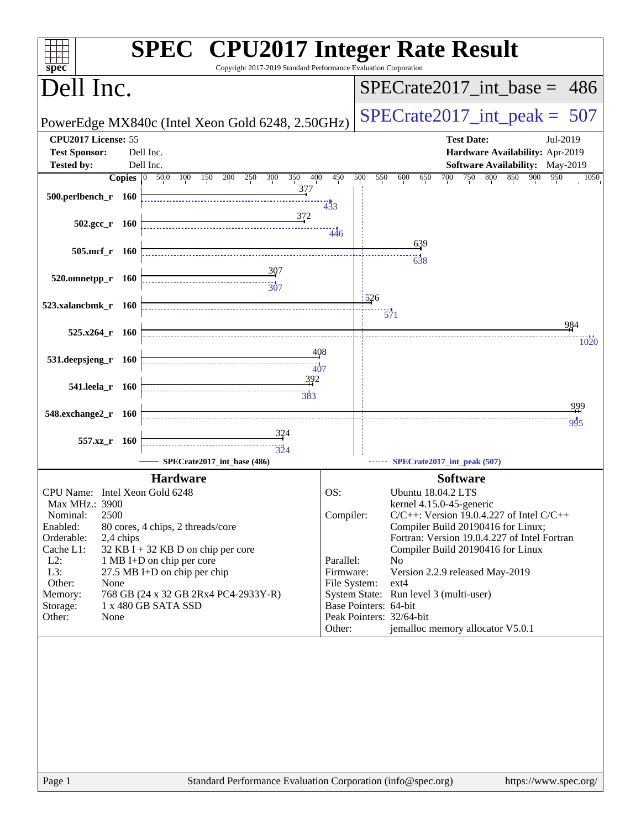| spec <sup>®</sup>                                |           | <b>SPEC<sup>®</sup></b> CPU2017 Integer Rate Result<br>Copyright 2017-2019 Standard Performance Evaluation Corporation |                           |                       |                                                                                   |
|--------------------------------------------------|-----------|------------------------------------------------------------------------------------------------------------------------|---------------------------|-----------------------|-----------------------------------------------------------------------------------|
| Dell Inc.                                        |           |                                                                                                                        |                           |                       | $SPECrate2017\_int\_base = 486$                                                   |
|                                                  |           | PowerEdge MX840c (Intel Xeon Gold 6248, 2.50GHz)                                                                       |                           |                       | $SPECrate2017\_int\_peak = 507$                                                   |
| CPU2017 License: 55<br><b>Test Sponsor:</b>      |           | Dell Inc.                                                                                                              |                           |                       | <b>Test Date:</b><br>Jul-2019<br>Hardware Availability: Apr-2019                  |
| <b>Tested by:</b>                                |           | Dell Inc.                                                                                                              |                           |                       | Software Availability: May-2019                                                   |
|                                                  |           | Copies $\boxed{0}$ 50.0<br>300<br>350<br>400<br>100<br>200<br>250<br>150<br>377                                        | 450                       | 500<br>550            | 700<br>750<br>800<br>850<br>900<br>600<br>650<br>950<br>1050                      |
| 500.perlbench_r 160                              |           |                                                                                                                        | 433                       |                       |                                                                                   |
|                                                  |           | 372                                                                                                                    |                           |                       |                                                                                   |
| $502.\text{gcc r}$ 160                           |           |                                                                                                                        | 446                       |                       |                                                                                   |
| $505$ .mcf $r$                                   | - 160     |                                                                                                                        |                           |                       | 639                                                                               |
|                                                  |           | $\frac{307}{2}$                                                                                                        |                           |                       | $-638$                                                                            |
| 520.omnetpp_r 160                                |           | $\frac{1}{307}$                                                                                                        |                           |                       |                                                                                   |
| 523.xalancbmk_r 160                              |           |                                                                                                                        |                           | 1526                  |                                                                                   |
|                                                  |           |                                                                                                                        |                           |                       | $\frac{1}{571}$                                                                   |
| $525.x264$ r $160$                               |           |                                                                                                                        |                           |                       | 984                                                                               |
|                                                  |           | 408                                                                                                                    |                           |                       | 1020                                                                              |
| 531.deepsjeng_r 160                              |           | $-407$                                                                                                                 |                           |                       |                                                                                   |
| 541.leela r 160                                  |           | 392                                                                                                                    |                           |                       |                                                                                   |
|                                                  |           |                                                                                                                        |                           |                       | 999                                                                               |
| 548.exchange2_r 160                              |           |                                                                                                                        |                           |                       | 995                                                                               |
|                                                  |           |                                                                                                                        |                           |                       |                                                                                   |
| 557.xz_r 160                                     |           | $\frac{1}{324}$                                                                                                        |                           |                       |                                                                                   |
|                                                  |           | SPECrate2017_int_base (486)                                                                                            |                           |                       | SPECrate2017_int_peak (507)                                                       |
|                                                  |           | <b>Hardware</b>                                                                                                        |                           |                       | <b>Software</b>                                                                   |
| CPU Name: Intel Xeon Gold 6248<br>Max MHz.: 3900 |           |                                                                                                                        | OS:                       |                       | Ubuntu 18.04.2 LTS<br>kernel 4.15.0-45-generic                                    |
| 2500<br>Nominal:                                 |           |                                                                                                                        | Compiler:                 |                       | $C/C++$ : Version 19.0.4.227 of Intel $C/C++$                                     |
| Enabled:                                         |           | 80 cores, 4 chips, 2 threads/core                                                                                      |                           |                       | Compiler Build 20190416 for Linux;                                                |
| Orderable:<br>Cache L1:                          | 2,4 chips | $32$ KB I + 32 KB D on chip per core                                                                                   |                           |                       | Fortran: Version 19.0.4.227 of Intel Fortran<br>Compiler Build 20190416 for Linux |
| $L2$ :                                           |           | 1 MB I+D on chip per core                                                                                              | Parallel:                 |                       | N <sub>o</sub>                                                                    |
| L3:<br>Other:<br>None                            |           | 27.5 MB I+D on chip per chip                                                                                           | Firmware:<br>File System: |                       | Version 2.2.9 released May-2019<br>$ext{4}$                                       |
| Memory:                                          |           | 768 GB (24 x 32 GB 2Rx4 PC4-2933Y-R)                                                                                   |                           |                       | System State: Run level 3 (multi-user)                                            |
| Storage:<br>Other:<br>None                       |           | 1 x 480 GB SATA SSD                                                                                                    |                           | Base Pointers: 64-bit | Peak Pointers: 32/64-bit                                                          |
|                                                  |           |                                                                                                                        | Other:                    |                       | jemalloc memory allocator V5.0.1                                                  |
|                                                  |           |                                                                                                                        |                           |                       |                                                                                   |
|                                                  |           |                                                                                                                        |                           |                       |                                                                                   |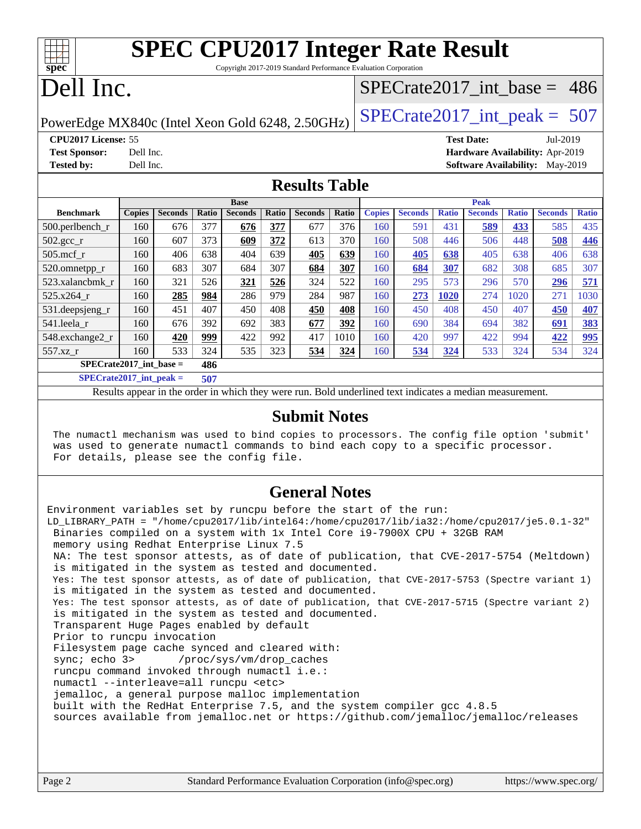| Spec      | <b>SPEC CPU2017 Integer Rate Result</b><br>Copyright 2017-2019 Standard Performance Evaluation Corporation |                               |  |
|-----------|------------------------------------------------------------------------------------------------------------|-------------------------------|--|
| Dell Inc. |                                                                                                            | SPECrate2017 int base = $486$ |  |

PowerEdge MX840c (Intel Xeon Gold 6248, 2.50GHz)  $\vert$  [SPECrate2017\\_int\\_peak =](http://www.spec.org/auto/cpu2017/Docs/result-fields.html#SPECrate2017intpeak) 507

**[CPU2017 License:](http://www.spec.org/auto/cpu2017/Docs/result-fields.html#CPU2017License)** 55 **[Test Date:](http://www.spec.org/auto/cpu2017/Docs/result-fields.html#TestDate)** Jul-2019

**[Test Sponsor:](http://www.spec.org/auto/cpu2017/Docs/result-fields.html#TestSponsor)** Dell Inc. **[Hardware Availability:](http://www.spec.org/auto/cpu2017/Docs/result-fields.html#HardwareAvailability)** Apr-2019 **[Tested by:](http://www.spec.org/auto/cpu2017/Docs/result-fields.html#Testedby)** Dell Inc. **[Software Availability:](http://www.spec.org/auto/cpu2017/Docs/result-fields.html#SoftwareAvailability)** May-2019

### **[Results Table](http://www.spec.org/auto/cpu2017/Docs/result-fields.html#ResultsTable)**

|                               | <b>Base</b>   |                |       |                | <b>Peak</b> |                |       |               |                |              |                |              |                |              |
|-------------------------------|---------------|----------------|-------|----------------|-------------|----------------|-------|---------------|----------------|--------------|----------------|--------------|----------------|--------------|
| <b>Benchmark</b>              | <b>Copies</b> | <b>Seconds</b> | Ratio | <b>Seconds</b> | Ratio       | <b>Seconds</b> | Ratio | <b>Copies</b> | <b>Seconds</b> | <b>Ratio</b> | <b>Seconds</b> | <b>Ratio</b> | <b>Seconds</b> | <b>Ratio</b> |
| 500.perlbench_r               | 160           | 676            | 377   | 676            | 377         | 677            | 376   | 160           | 591            | 431          | 589            | 433          | 585            | 435          |
| $502.\text{sec}$ <sub>r</sub> | 160           | 607            | 373   | 609            | 372         | 613            | 370   | 160           | 508            | 446          | 506            | 448          | 508            | 446          |
| $505$ .mcf r                  | 160           | 406            | 638   | 404            | 639         | 405            | 639   | 160           | 405            | 638          | 405            | 638          | 406            | 638          |
| 520.omnetpp_r                 | 160           | 683            | 307   | 684            | 307         | 684            | 307   | 160           | 684            | 307          | 682            | 308          | 685            | 307          |
| 523.xalancbmk r               | 160           | 321            | 526   | 321            | 526         | 324            | 522   | 160           | 295            | 573          | 296            | 570          | 296            | 571          |
| 525.x264 r                    | 160           | 285            | 984   | 286            | 979         | 284            | 987   | 160           | 273            | 1020         | 274            | 1020         | 271            | 1030         |
| 531.deepsjeng_r               | 160           | 451            | 407   | 450            | 408         | 450            | 408   | 160           | 450            | 408          | 450            | 407          | 450            | 407          |
| 541.leela_r                   | 160           | 676            | 392   | 692            | 383         | 677            | 392   | 160           | 690            | 384          | 694            | 382          | 691            | 383          |
| 548.exchange2_r               | 160           | 420            | 999   | 422            | 992         | 417            | 1010  | 160           | 420            | 997          | 422            | 994          | 422            | 995          |
| 557.xz r                      | 160           | 533            | 324   | 535            | 323         | 534            | 324   | 160           | 534            | 324          | 533            | 324          | 534            | 324          |
| $SPECrate2017$ int base =     |               |                | 486   |                |             |                |       |               |                |              |                |              |                |              |

**[SPECrate2017\\_int\\_peak =](http://www.spec.org/auto/cpu2017/Docs/result-fields.html#SPECrate2017intpeak) 507**

Results appear in the [order in which they were run](http://www.spec.org/auto/cpu2017/Docs/result-fields.html#RunOrder). Bold underlined text [indicates a median measurement](http://www.spec.org/auto/cpu2017/Docs/result-fields.html#Median).

### **[Submit Notes](http://www.spec.org/auto/cpu2017/Docs/result-fields.html#SubmitNotes)**

 The numactl mechanism was used to bind copies to processors. The config file option 'submit' was used to generate numactl commands to bind each copy to a specific processor. For details, please see the config file.

### **[General Notes](http://www.spec.org/auto/cpu2017/Docs/result-fields.html#GeneralNotes)**

Environment variables set by runcpu before the start of the run: LD\_LIBRARY\_PATH = "/home/cpu2017/lib/intel64:/home/cpu2017/lib/ia32:/home/cpu2017/je5.0.1-32" Binaries compiled on a system with 1x Intel Core i9-7900X CPU + 32GB RAM memory using Redhat Enterprise Linux 7.5 NA: The test sponsor attests, as of date of publication, that CVE-2017-5754 (Meltdown) is mitigated in the system as tested and documented. Yes: The test sponsor attests, as of date of publication, that CVE-2017-5753 (Spectre variant 1) is mitigated in the system as tested and documented. Yes: The test sponsor attests, as of date of publication, that CVE-2017-5715 (Spectre variant 2) is mitigated in the system as tested and documented. Transparent Huge Pages enabled by default Prior to runcpu invocation Filesystem page cache synced and cleared with: sync; echo 3> /proc/sys/vm/drop\_caches runcpu command invoked through numactl i.e.: numactl --interleave=all runcpu <etc> jemalloc, a general purpose malloc implementation built with the RedHat Enterprise 7.5, and the system compiler gcc 4.8.5 sources available from jemalloc.net or <https://github.com/jemalloc/jemalloc/releases>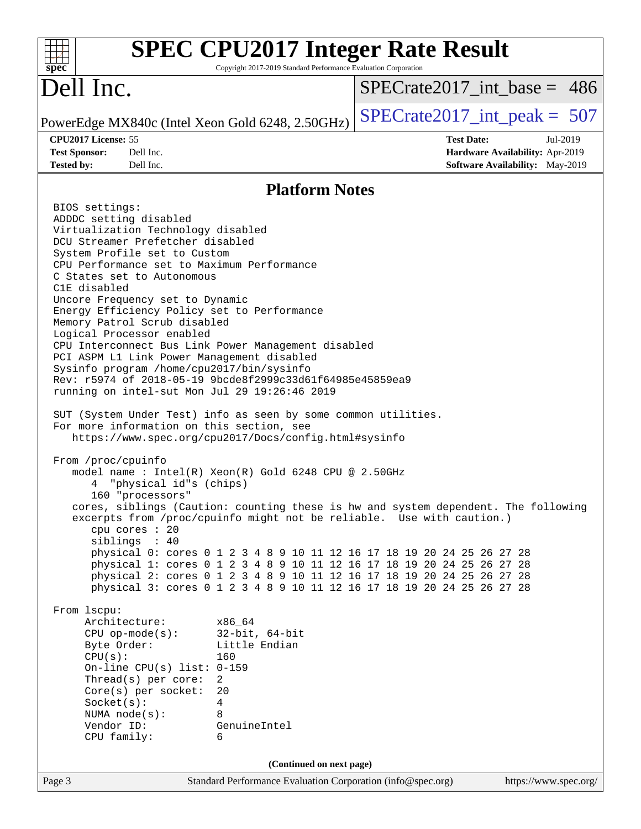| $spec^*$                                                                                                                                                                                                                                                                                                                                                                                                                                                                                                                                                                                                                                                                                                                                                                                                                                                                                                                                                                                                                                                                                                                                                                                                                                                                                                                                                                                                    | Copyright 2017-2019 Standard Performance Evaluation Corporation | <b>SPEC CPU2017 Integer Rate Result</b>                                                                                                                                                                                                                                                                                                                                                    |
|-------------------------------------------------------------------------------------------------------------------------------------------------------------------------------------------------------------------------------------------------------------------------------------------------------------------------------------------------------------------------------------------------------------------------------------------------------------------------------------------------------------------------------------------------------------------------------------------------------------------------------------------------------------------------------------------------------------------------------------------------------------------------------------------------------------------------------------------------------------------------------------------------------------------------------------------------------------------------------------------------------------------------------------------------------------------------------------------------------------------------------------------------------------------------------------------------------------------------------------------------------------------------------------------------------------------------------------------------------------------------------------------------------------|-----------------------------------------------------------------|--------------------------------------------------------------------------------------------------------------------------------------------------------------------------------------------------------------------------------------------------------------------------------------------------------------------------------------------------------------------------------------------|
| Dell Inc.                                                                                                                                                                                                                                                                                                                                                                                                                                                                                                                                                                                                                                                                                                                                                                                                                                                                                                                                                                                                                                                                                                                                                                                                                                                                                                                                                                                                   |                                                                 | $SPECrate2017\_int\_base = 486$                                                                                                                                                                                                                                                                                                                                                            |
| PowerEdge MX840c (Intel Xeon Gold 6248, 2.50GHz)                                                                                                                                                                                                                                                                                                                                                                                                                                                                                                                                                                                                                                                                                                                                                                                                                                                                                                                                                                                                                                                                                                                                                                                                                                                                                                                                                            |                                                                 | $SPECrate2017\_int\_peak = 507$                                                                                                                                                                                                                                                                                                                                                            |
| CPU2017 License: 55<br><b>Test Sponsor:</b><br>Dell Inc.<br>Dell Inc.<br><b>Tested by:</b>                                                                                                                                                                                                                                                                                                                                                                                                                                                                                                                                                                                                                                                                                                                                                                                                                                                                                                                                                                                                                                                                                                                                                                                                                                                                                                                  |                                                                 | <b>Test Date:</b><br>Jul-2019<br>Hardware Availability: Apr-2019<br>Software Availability: May-2019                                                                                                                                                                                                                                                                                        |
|                                                                                                                                                                                                                                                                                                                                                                                                                                                                                                                                                                                                                                                                                                                                                                                                                                                                                                                                                                                                                                                                                                                                                                                                                                                                                                                                                                                                             | <b>Platform Notes</b>                                           |                                                                                                                                                                                                                                                                                                                                                                                            |
| BIOS settings:<br>ADDDC setting disabled<br>Virtualization Technology disabled<br>DCU Streamer Prefetcher disabled<br>System Profile set to Custom<br>CPU Performance set to Maximum Performance<br>C States set to Autonomous<br>C1E disabled<br>Uncore Frequency set to Dynamic<br>Energy Efficiency Policy set to Performance<br>Memory Patrol Scrub disabled<br>Logical Processor enabled<br>CPU Interconnect Bus Link Power Management disabled<br>PCI ASPM L1 Link Power Management disabled<br>Sysinfo program /home/cpu2017/bin/sysinfo<br>Rev: r5974 of 2018-05-19 9bcde8f2999c33d61f64985e45859ea9<br>running on intel-sut Mon Jul 29 19:26:46 2019<br>SUT (System Under Test) info as seen by some common utilities.<br>For more information on this section, see<br>https://www.spec.org/cpu2017/Docs/config.html#sysinfo<br>From /proc/cpuinfo<br>model name : Intel(R) Xeon(R) Gold 6248 CPU @ 2.50GHz<br>"physical id"s (chips)<br>160 "processors"<br>excerpts from /proc/cpuinfo might not be reliable. Use with caution.)<br>cpu cores : 20<br>siblings : 40<br>From lscpu:<br>Architecture:<br>x86 64<br>$32$ -bit, $64$ -bit<br>$CPU$ op-mode(s):<br>Little Endian<br>Byte Order:<br>CPU(s):<br>160<br>On-line CPU(s) list: $0-159$<br>Thread(s) per core:<br>2<br>20<br>Core(s) per socket:<br>Socket(s):<br>4<br>NUMA node(s):<br>8<br>Vendor ID:<br>GenuineIntel<br>CPU family:<br>6 |                                                                 | cores, siblings (Caution: counting these is hw and system dependent. The following<br>physical 0: cores 0 1 2 3 4 8 9 10 11 12 16 17 18 19 20 24 25 26 27 28<br>physical 1: cores 0 1 2 3 4 8 9 10 11 12 16 17 18 19 20 24 25 26 27 28<br>physical 2: cores 0 1 2 3 4 8 9 10 11 12 16 17 18 19 20 24 25 26 27 28<br>physical 3: cores 0 1 2 3 4 8 9 10 11 12 16 17 18 19 20 24 25 26 27 28 |
|                                                                                                                                                                                                                                                                                                                                                                                                                                                                                                                                                                                                                                                                                                                                                                                                                                                                                                                                                                                                                                                                                                                                                                                                                                                                                                                                                                                                             | (Continued on next page)                                        |                                                                                                                                                                                                                                                                                                                                                                                            |
| Page 3                                                                                                                                                                                                                                                                                                                                                                                                                                                                                                                                                                                                                                                                                                                                                                                                                                                                                                                                                                                                                                                                                                                                                                                                                                                                                                                                                                                                      |                                                                 | Standard Performance Evaluation Corporation (info@spec.org)<br>https://www.spec.org/                                                                                                                                                                                                                                                                                                       |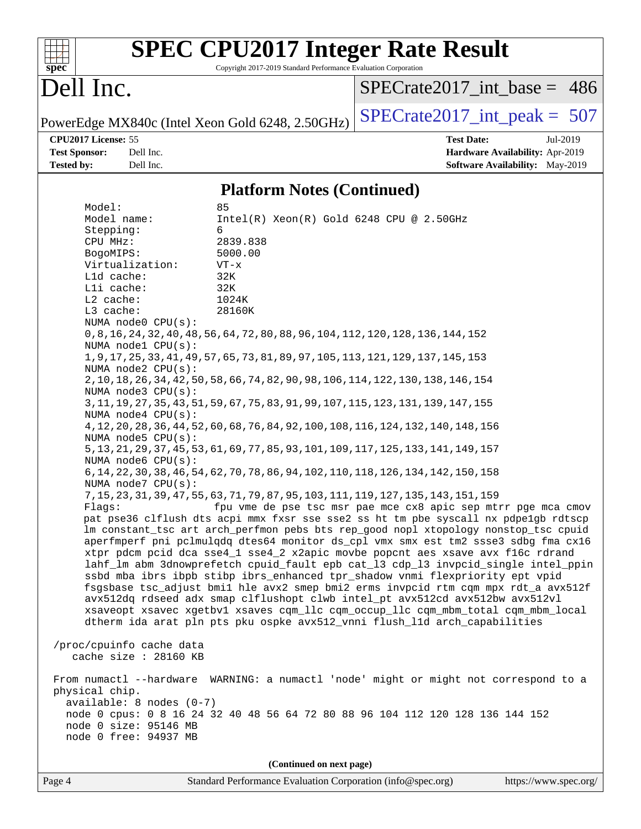| spec <sup>®</sup>                                                                                  |                                                                                                                                                                                                                                                                                                                                                                                                  | <b>SPEC CPU2017 Integer Rate Result</b><br>Copyright 2017-2019 Standard Performance Evaluation Corporation                                                                                                                                                                                                                                                                                                                                                                                                                                                                                                                                                                                                                                                                                                                                                                                                                                                                                                                                                                                                                                                                                                                                                                                                                                                                                                                                                                                                                                                                                                                                                                                                                                                                                                                                                                                                                                                            |                                 |                                                                                |
|----------------------------------------------------------------------------------------------------|--------------------------------------------------------------------------------------------------------------------------------------------------------------------------------------------------------------------------------------------------------------------------------------------------------------------------------------------------------------------------------------------------|-----------------------------------------------------------------------------------------------------------------------------------------------------------------------------------------------------------------------------------------------------------------------------------------------------------------------------------------------------------------------------------------------------------------------------------------------------------------------------------------------------------------------------------------------------------------------------------------------------------------------------------------------------------------------------------------------------------------------------------------------------------------------------------------------------------------------------------------------------------------------------------------------------------------------------------------------------------------------------------------------------------------------------------------------------------------------------------------------------------------------------------------------------------------------------------------------------------------------------------------------------------------------------------------------------------------------------------------------------------------------------------------------------------------------------------------------------------------------------------------------------------------------------------------------------------------------------------------------------------------------------------------------------------------------------------------------------------------------------------------------------------------------------------------------------------------------------------------------------------------------------------------------------------------------------------------------------------------------|---------------------------------|--------------------------------------------------------------------------------|
| Dell Inc.                                                                                          |                                                                                                                                                                                                                                                                                                                                                                                                  |                                                                                                                                                                                                                                                                                                                                                                                                                                                                                                                                                                                                                                                                                                                                                                                                                                                                                                                                                                                                                                                                                                                                                                                                                                                                                                                                                                                                                                                                                                                                                                                                                                                                                                                                                                                                                                                                                                                                                                       | $SPECrate2017$ int base = 486   |                                                                                |
|                                                                                                    |                                                                                                                                                                                                                                                                                                                                                                                                  | PowerEdge MX840c (Intel Xeon Gold 6248, 2.50GHz)                                                                                                                                                                                                                                                                                                                                                                                                                                                                                                                                                                                                                                                                                                                                                                                                                                                                                                                                                                                                                                                                                                                                                                                                                                                                                                                                                                                                                                                                                                                                                                                                                                                                                                                                                                                                                                                                                                                      | $SPECTate2017\_int\_peak = 507$ |                                                                                |
| CPU2017 License: 55<br><b>Test Sponsor:</b><br><b>Tested by:</b>                                   | Dell Inc.<br>Dell Inc.                                                                                                                                                                                                                                                                                                                                                                           |                                                                                                                                                                                                                                                                                                                                                                                                                                                                                                                                                                                                                                                                                                                                                                                                                                                                                                                                                                                                                                                                                                                                                                                                                                                                                                                                                                                                                                                                                                                                                                                                                                                                                                                                                                                                                                                                                                                                                                       | <b>Test Date:</b>               | Jul-2019<br>Hardware Availability: Apr-2019<br>Software Availability: May-2019 |
|                                                                                                    |                                                                                                                                                                                                                                                                                                                                                                                                  | <b>Platform Notes (Continued)</b>                                                                                                                                                                                                                                                                                                                                                                                                                                                                                                                                                                                                                                                                                                                                                                                                                                                                                                                                                                                                                                                                                                                                                                                                                                                                                                                                                                                                                                                                                                                                                                                                                                                                                                                                                                                                                                                                                                                                     |                                 |                                                                                |
| Model:<br>Stepping:<br>CPU MHz:<br>BogoMIPS:<br>L2 cache:<br>L3 cache:<br>Flags:<br>physical chip. | Model name:<br>Virtualization:<br>L1d cache:<br>Lli cache:<br>NUMA node0 CPU(s):<br>NUMA nodel CPU(s):<br>NUMA $node2$ $CPU(s)$ :<br>NUMA $node3$ $CPU(s)$ :<br>NUMA $node4$ $CPU(s)$ :<br>NUMA node5 $CPU(s):$<br>NUMA node6 CPU(s):<br>NUMA node7 CPU(s):<br>/proc/cpuinfo cache data<br>cache size : 28160 KB<br>$available: 8 nodes (0-7)$<br>node 0 size: 95146 MB<br>node 0 free: 94937 MB | 85<br>Intel(R) Xeon(R) Gold 6248 CPU @ 2.50GHz<br>6<br>2839.838<br>5000.00<br>$VT - x$<br>32K<br>32K<br>1024K<br>28160K<br>0, 8, 16, 24, 32, 40, 48, 56, 64, 72, 80, 88, 96, 104, 112, 120, 128, 136, 144, 152<br>1, 9, 17, 25, 33, 41, 49, 57, 65, 73, 81, 89, 97, 105, 113, 121, 129, 137, 145, 153<br>2, 10, 18, 26, 34, 42, 50, 58, 66, 74, 82, 90, 98, 106, 114, 122, 130, 138, 146, 154<br>3, 11, 19, 27, 35, 43, 51, 59, 67, 75, 83, 91, 99, 107, 115, 123, 131, 139, 147, 155<br>4, 12, 20, 28, 36, 44, 52, 60, 68, 76, 84, 92, 100, 108, 116, 124, 132, 140, 148, 156<br>5, 13, 21, 29, 37, 45, 53, 61, 69, 77, 85, 93, 101, 109, 117, 125, 133, 141, 149, 157<br>6, 14, 22, 30, 38, 46, 54, 62, 70, 78, 86, 94, 102, 110, 118, 126, 134, 142, 150, 158<br>7, 15, 23, 31, 39, 47, 55, 63, 71, 79, 87, 95, 103, 111, 119, 127, 135, 143, 151, 159<br>fpu vme de pse tsc msr pae mce cx8 apic sep mtrr pge mca cmov<br>pat pse36 clflush dts acpi mmx fxsr sse sse2 ss ht tm pbe syscall nx pdpe1gb rdtscp<br>lm constant_tsc art arch_perfmon pebs bts rep_good nopl xtopology nonstop_tsc cpuid<br>aperfmperf pni pclmulqdq dtes64 monitor ds_cpl vmx smx est tm2 ssse3 sdbg fma cx16<br>xtpr pdcm pcid dca sse4_1 sse4_2 x2apic movbe popcnt aes xsave avx f16c rdrand<br>lahf_lm abm 3dnowprefetch cpuid_fault epb cat_13 cdp_13 invpcid_single intel_ppin<br>ssbd mba ibrs ibpb stibp ibrs_enhanced tpr_shadow vnmi flexpriority ept vpid<br>fsgsbase tsc_adjust bmil hle avx2 smep bmi2 erms invpcid rtm cqm mpx rdt_a avx512f<br>avx512dq rdseed adx smap clflushopt clwb intel_pt avx512cd avx512bw avx512vl<br>xsaveopt xsavec xgetbvl xsaves cqm_llc cqm_occup_llc cqm_mbm_total cqm_mbm_local<br>dtherm ida arat pln pts pku ospke avx512_vnni flush_lld arch_capabilities<br>From numactl --hardware WARNING: a numactl 'node' might or might not correspond to a<br>node 0 cpus: 0 8 16 24 32 40 48 56 64 72 80 88 96 104 112 120 128 136 144 152 |                                 |                                                                                |
|                                                                                                    |                                                                                                                                                                                                                                                                                                                                                                                                  | (Continued on next page)                                                                                                                                                                                                                                                                                                                                                                                                                                                                                                                                                                                                                                                                                                                                                                                                                                                                                                                                                                                                                                                                                                                                                                                                                                                                                                                                                                                                                                                                                                                                                                                                                                                                                                                                                                                                                                                                                                                                              |                                 |                                                                                |
| Page 4                                                                                             |                                                                                                                                                                                                                                                                                                                                                                                                  | Standard Performance Evaluation Corporation (info@spec.org)                                                                                                                                                                                                                                                                                                                                                                                                                                                                                                                                                                                                                                                                                                                                                                                                                                                                                                                                                                                                                                                                                                                                                                                                                                                                                                                                                                                                                                                                                                                                                                                                                                                                                                                                                                                                                                                                                                           |                                 | https://www.spec.org/                                                          |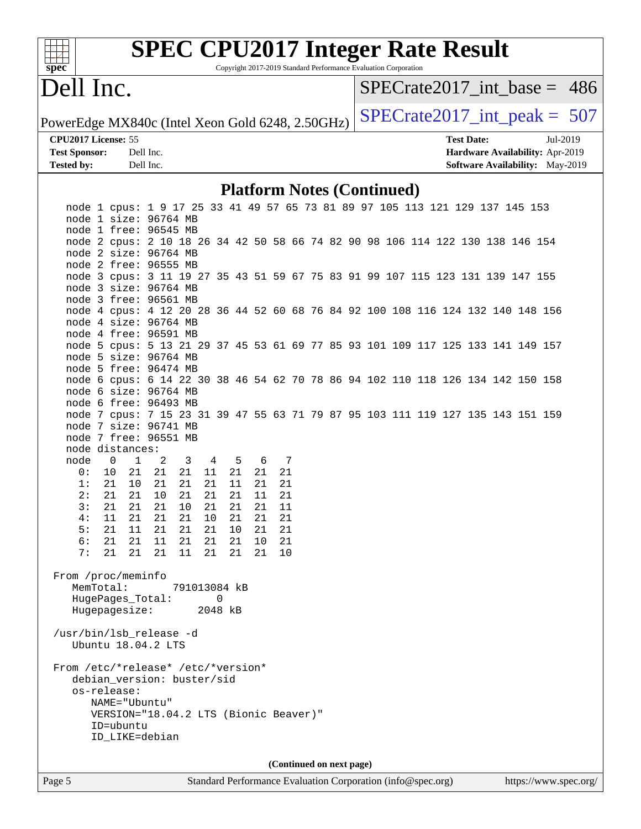| S)<br>эe<br>Ľ |  |  |  |  |  |  |  |
|---------------|--|--|--|--|--|--|--|

# **[SPEC CPU2017 Integer Rate Result](http://www.spec.org/auto/cpu2017/Docs/result-fields.html#SPECCPU2017IntegerRateResult)**

Copyright 2017-2019 Standard Performance Evaluation Corporation

# Dell Inc.

[SPECrate2017\\_int\\_base =](http://www.spec.org/auto/cpu2017/Docs/result-fields.html#SPECrate2017intbase) 486

**[Tested by:](http://www.spec.org/auto/cpu2017/Docs/result-fields.html#Testedby)** Dell Inc. **[Software Availability:](http://www.spec.org/auto/cpu2017/Docs/result-fields.html#SoftwareAvailability)** May-2019

PowerEdge MX840c (Intel Xeon Gold 6248, 2.50GHz)  $\left|$  [SPECrate2017\\_int\\_peak =](http://www.spec.org/auto/cpu2017/Docs/result-fields.html#SPECrate2017intpeak) 507

**[CPU2017 License:](http://www.spec.org/auto/cpu2017/Docs/result-fields.html#CPU2017License)** 55 **[Test Date:](http://www.spec.org/auto/cpu2017/Docs/result-fields.html#TestDate)** Jul-2019 **[Test Sponsor:](http://www.spec.org/auto/cpu2017/Docs/result-fields.html#TestSponsor)** Dell Inc. **[Hardware Availability:](http://www.spec.org/auto/cpu2017/Docs/result-fields.html#HardwareAvailability)** Apr-2019

### **[Platform Notes \(Continued\)](http://www.spec.org/auto/cpu2017/Docs/result-fields.html#PlatformNotes)**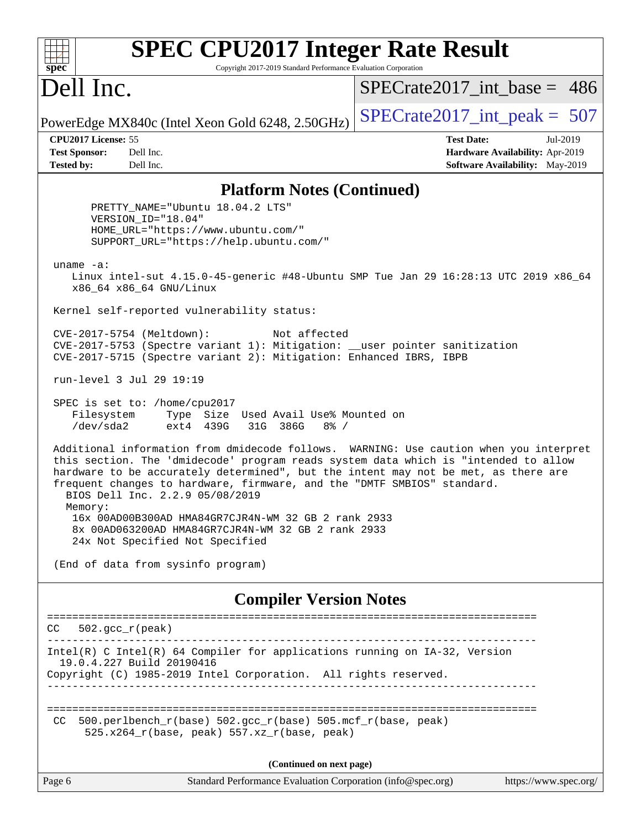| spec                                                             | <b>SPEC CPU2017 Integer Rate Result</b><br>Copyright 2017-2019 Standard Performance Evaluation Corporation                                                                                                                                                                              |                                                                                                     |
|------------------------------------------------------------------|-----------------------------------------------------------------------------------------------------------------------------------------------------------------------------------------------------------------------------------------------------------------------------------------|-----------------------------------------------------------------------------------------------------|
| Dell Inc.                                                        |                                                                                                                                                                                                                                                                                         | $SPECrate2017\_int\_base = 486$                                                                     |
|                                                                  | PowerEdge MX840c (Intel Xeon Gold 6248, 2.50GHz)                                                                                                                                                                                                                                        | $SPECrate2017\_int\_peak = 507$                                                                     |
| CPU2017 License: 55<br><b>Test Sponsor:</b><br><b>Tested by:</b> | Dell Inc.<br>Dell Inc.                                                                                                                                                                                                                                                                  | <b>Test Date:</b><br>Jul-2019<br>Hardware Availability: Apr-2019<br>Software Availability: May-2019 |
|                                                                  | <b>Platform Notes (Continued)</b>                                                                                                                                                                                                                                                       |                                                                                                     |
|                                                                  | PRETTY_NAME="Ubuntu 18.04.2 LTS"<br>VERSION_ID="18.04"<br>HOME_URL="https://www.ubuntu.com/"<br>SUPPORT_URL="https://help.ubuntu.com/"                                                                                                                                                  |                                                                                                     |
| uname $-a$ :                                                     | x86_64 x86_64 GNU/Linux                                                                                                                                                                                                                                                                 | Linux intel-sut 4.15.0-45-generic #48-Ubuntu SMP Tue Jan 29 16:28:13 UTC 2019 x86_64                |
|                                                                  | Kernel self-reported vulnerability status:                                                                                                                                                                                                                                              |                                                                                                     |
|                                                                  | CVE-2017-5754 (Meltdown):<br>Not affected<br>CVE-2017-5753 (Spectre variant 1): Mitigation: __user pointer sanitization<br>CVE-2017-5715 (Spectre variant 2): Mitigation: Enhanced IBRS, IBPB                                                                                           |                                                                                                     |
|                                                                  | run-level 3 Jul 29 19:19                                                                                                                                                                                                                                                                |                                                                                                     |
| Filesystem<br>/dev/sda2                                          | SPEC is set to: /home/cpu2017<br>Type Size Used Avail Use% Mounted on<br>31G 386G<br>ext4 439G<br>$8\frac{6}{5}$ /                                                                                                                                                                      |                                                                                                     |
| Memory:                                                          | this section. The 'dmidecode' program reads system data which is "intended to allow<br>hardware to be accurately determined", but the intent may not be met, as there are<br>frequent changes to hardware, firmware, and the "DMTF SMBIOS" standard.<br>BIOS Dell Inc. 2.2.9 05/08/2019 | Additional information from dmidecode follows. WARNING: Use caution when you interpret              |
|                                                                  | 16x 00AD00B300AD HMA84GR7CJR4N-WM 32 GB 2 rank 2933<br>8x 00AD063200AD HMA84GR7CJR4N-WM 32 GB 2 rank 2933<br>24x Not Specified Not Specified                                                                                                                                            |                                                                                                     |
|                                                                  | (End of data from sysinfo program)                                                                                                                                                                                                                                                      |                                                                                                     |
|                                                                  | <b>Compiler Version Notes</b>                                                                                                                                                                                                                                                           |                                                                                                     |
| CC                                                               | $502.$ gcc_r(peak)                                                                                                                                                                                                                                                                      | _________________________                                                                           |
|                                                                  | Intel(R) C Intel(R) 64 Compiler for applications running on IA-32, Version<br>19.0.4.227 Build 20190416<br>Copyright (C) 1985-2019 Intel Corporation. All rights reserved.                                                                                                              |                                                                                                     |
| CC.                                                              | 500.perlbench_r(base) 502.gcc_r(base) 505.mcf_r(base, peak)<br>525.x264_r(base, peak) 557.xz_r(base, peak)                                                                                                                                                                              |                                                                                                     |
|                                                                  | (Continued on next page)                                                                                                                                                                                                                                                                |                                                                                                     |
| Page 6                                                           | Standard Performance Evaluation Corporation (info@spec.org)                                                                                                                                                                                                                             | https://www.spec.org/                                                                               |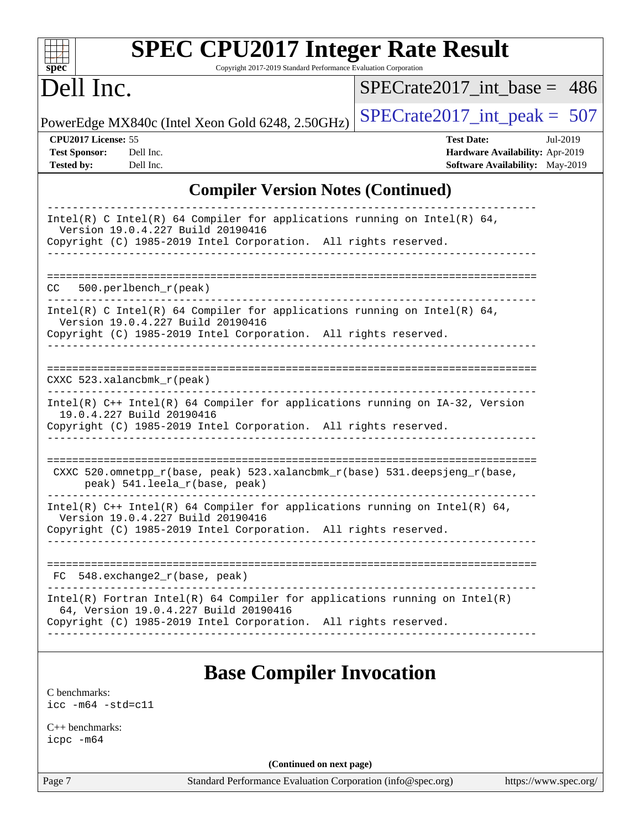| Dell Inc.                                                                                                                                                                              | $SPECrate2017$ int base = 486                                                                              |
|----------------------------------------------------------------------------------------------------------------------------------------------------------------------------------------|------------------------------------------------------------------------------------------------------------|
| PowerEdge MX840c (Intel Xeon Gold 6248, 2.50GHz)                                                                                                                                       | $SPECrate2017\_int\_peak = 507$                                                                            |
| CPU2017 License: 55<br><b>Test Sponsor:</b><br>Dell Inc.<br><b>Tested by:</b><br>Dell Inc.                                                                                             | <b>Test Date:</b><br>Jul-2019<br>Hardware Availability: Apr-2019<br><b>Software Availability:</b> May-2019 |
| <b>Compiler Version Notes (Continued)</b>                                                                                                                                              |                                                                                                            |
| Intel(R) C Intel(R) 64 Compiler for applications running on Intel(R) 64,<br>Version 19.0.4.227 Build 20190416<br>Copyright (C) 1985-2019 Intel Corporation. All rights reserved.       |                                                                                                            |
| 500.perlbench_r(peak)<br>CC.                                                                                                                                                           |                                                                                                            |
| Intel(R) C Intel(R) 64 Compiler for applications running on Intel(R) 64,<br>Version 19.0.4.227 Build 20190416<br>Copyright (C) 1985-2019 Intel Corporation. All rights reserved.       |                                                                                                            |
| CXXC $523.$ xalancbmk $r(\text{peak})$                                                                                                                                                 |                                                                                                            |
| Intel(R) C++ Intel(R) 64 Compiler for applications running on IA-32, Version<br>19.0.4.227 Build 20190416<br>Copyright (C) 1985-2019 Intel Corporation. All rights reserved.           |                                                                                                            |
| CXXC 520.omnetpp_r(base, peak) 523.xalancbmk_r(base) 531.deepsjeng_r(base,<br>peak) 541.leela_r(base, peak)                                                                            |                                                                                                            |
| Intel(R) $C++$ Intel(R) 64 Compiler for applications running on Intel(R) 64,<br>Version 19.0.4.227 Build 20190416<br>Copyright (C) 1985-2019 Intel Corporation. All rights reserved.   |                                                                                                            |
| FC 548.exchange2_r(base, peak)                                                                                                                                                         |                                                                                                            |
| Intel(R) Fortran Intel(R) 64 Compiler for applications running on Intel(R)<br>64, Version 19.0.4.227 Build 20190416<br>Copyright (C) 1985-2019 Intel Corporation. All rights reserved. |                                                                                                            |

[icc -m64 -std=c11](http://www.spec.org/cpu2017/results/res2019q3/cpu2017-20190805-16512.flags.html#user_CCbase_intel_icc_64bit_c11_33ee0cdaae7deeeab2a9725423ba97205ce30f63b9926c2519791662299b76a0318f32ddfffdc46587804de3178b4f9328c46fa7c2b0cd779d7a61945c91cd35)

[C++ benchmarks:](http://www.spec.org/auto/cpu2017/Docs/result-fields.html#CXXbenchmarks) [icpc -m64](http://www.spec.org/cpu2017/results/res2019q3/cpu2017-20190805-16512.flags.html#user_CXXbase_intel_icpc_64bit_4ecb2543ae3f1412ef961e0650ca070fec7b7afdcd6ed48761b84423119d1bf6bdf5cad15b44d48e7256388bc77273b966e5eb805aefd121eb22e9299b2ec9d9)

**(Continued on next page)**

Page 7 Standard Performance Evaluation Corporation [\(info@spec.org\)](mailto:info@spec.org) <https://www.spec.org/>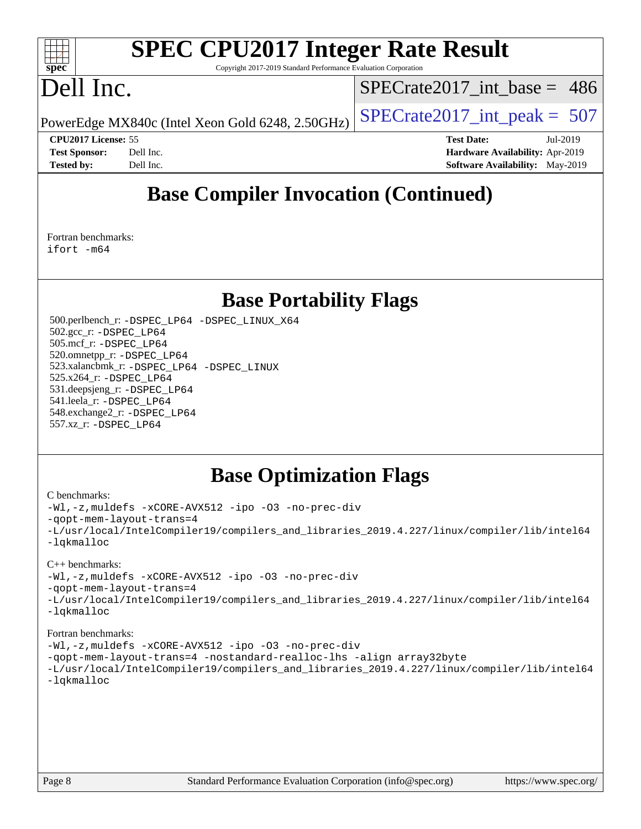

# **[SPEC CPU2017 Integer Rate Result](http://www.spec.org/auto/cpu2017/Docs/result-fields.html#SPECCPU2017IntegerRateResult)**

Copyright 2017-2019 Standard Performance Evaluation Corporation

# Dell Inc.

[SPECrate2017\\_int\\_base =](http://www.spec.org/auto/cpu2017/Docs/result-fields.html#SPECrate2017intbase) 486

PowerEdge MX840c (Intel Xeon Gold 6248, 2.50GHz)  $\left|$  [SPECrate2017\\_int\\_peak =](http://www.spec.org/auto/cpu2017/Docs/result-fields.html#SPECrate2017intpeak) 507

**[CPU2017 License:](http://www.spec.org/auto/cpu2017/Docs/result-fields.html#CPU2017License)** 55 **[Test Date:](http://www.spec.org/auto/cpu2017/Docs/result-fields.html#TestDate)** Jul-2019 **[Test Sponsor:](http://www.spec.org/auto/cpu2017/Docs/result-fields.html#TestSponsor)** Dell Inc. **[Hardware Availability:](http://www.spec.org/auto/cpu2017/Docs/result-fields.html#HardwareAvailability)** Apr-2019 **[Tested by:](http://www.spec.org/auto/cpu2017/Docs/result-fields.html#Testedby)** Dell Inc. **[Software Availability:](http://www.spec.org/auto/cpu2017/Docs/result-fields.html#SoftwareAvailability)** May-2019

# **[Base Compiler Invocation \(Continued\)](http://www.spec.org/auto/cpu2017/Docs/result-fields.html#BaseCompilerInvocation)**

[Fortran benchmarks](http://www.spec.org/auto/cpu2017/Docs/result-fields.html#Fortranbenchmarks): [ifort -m64](http://www.spec.org/cpu2017/results/res2019q3/cpu2017-20190805-16512.flags.html#user_FCbase_intel_ifort_64bit_24f2bb282fbaeffd6157abe4f878425411749daecae9a33200eee2bee2fe76f3b89351d69a8130dd5949958ce389cf37ff59a95e7a40d588e8d3a57e0c3fd751)

### **[Base Portability Flags](http://www.spec.org/auto/cpu2017/Docs/result-fields.html#BasePortabilityFlags)**

 500.perlbench\_r: [-DSPEC\\_LP64](http://www.spec.org/cpu2017/results/res2019q3/cpu2017-20190805-16512.flags.html#b500.perlbench_r_basePORTABILITY_DSPEC_LP64) [-DSPEC\\_LINUX\\_X64](http://www.spec.org/cpu2017/results/res2019q3/cpu2017-20190805-16512.flags.html#b500.perlbench_r_baseCPORTABILITY_DSPEC_LINUX_X64) 502.gcc\_r: [-DSPEC\\_LP64](http://www.spec.org/cpu2017/results/res2019q3/cpu2017-20190805-16512.flags.html#suite_basePORTABILITY502_gcc_r_DSPEC_LP64) 505.mcf\_r: [-DSPEC\\_LP64](http://www.spec.org/cpu2017/results/res2019q3/cpu2017-20190805-16512.flags.html#suite_basePORTABILITY505_mcf_r_DSPEC_LP64) 520.omnetpp\_r: [-DSPEC\\_LP64](http://www.spec.org/cpu2017/results/res2019q3/cpu2017-20190805-16512.flags.html#suite_basePORTABILITY520_omnetpp_r_DSPEC_LP64) 523.xalancbmk\_r: [-DSPEC\\_LP64](http://www.spec.org/cpu2017/results/res2019q3/cpu2017-20190805-16512.flags.html#suite_basePORTABILITY523_xalancbmk_r_DSPEC_LP64) [-DSPEC\\_LINUX](http://www.spec.org/cpu2017/results/res2019q3/cpu2017-20190805-16512.flags.html#b523.xalancbmk_r_baseCXXPORTABILITY_DSPEC_LINUX) 525.x264\_r: [-DSPEC\\_LP64](http://www.spec.org/cpu2017/results/res2019q3/cpu2017-20190805-16512.flags.html#suite_basePORTABILITY525_x264_r_DSPEC_LP64) 531.deepsjeng\_r: [-DSPEC\\_LP64](http://www.spec.org/cpu2017/results/res2019q3/cpu2017-20190805-16512.flags.html#suite_basePORTABILITY531_deepsjeng_r_DSPEC_LP64) 541.leela\_r: [-DSPEC\\_LP64](http://www.spec.org/cpu2017/results/res2019q3/cpu2017-20190805-16512.flags.html#suite_basePORTABILITY541_leela_r_DSPEC_LP64) 548.exchange2\_r: [-DSPEC\\_LP64](http://www.spec.org/cpu2017/results/res2019q3/cpu2017-20190805-16512.flags.html#suite_basePORTABILITY548_exchange2_r_DSPEC_LP64) 557.xz\_r: [-DSPEC\\_LP64](http://www.spec.org/cpu2017/results/res2019q3/cpu2017-20190805-16512.flags.html#suite_basePORTABILITY557_xz_r_DSPEC_LP64)

# **[Base Optimization Flags](http://www.spec.org/auto/cpu2017/Docs/result-fields.html#BaseOptimizationFlags)**

#### [C benchmarks](http://www.spec.org/auto/cpu2017/Docs/result-fields.html#Cbenchmarks):

```
-Wl,-z,muldefs -xCORE-AVX512 -ipo -O3 -no-prec-div
-qopt-mem-layout-trans=4
-L/usr/local/IntelCompiler19/compilers_and_libraries_2019.4.227/linux/compiler/lib/intel64
-lqkmalloc
C++ benchmarks: 
-Wl,-z,muldefs -xCORE-AVX512 -ipo -O3 -no-prec-div
-qopt-mem-layout-trans=4
-L/usr/local/IntelCompiler19/compilers_and_libraries_2019.4.227/linux/compiler/lib/intel64
-lqkmalloc
Fortran benchmarks: 
-Wl,-z,muldefs -xCORE-AVX512 -ipo -O3 -no-prec-div
-qopt-mem-layout-trans=4 -nostandard-realloc-lhs -align array32byte
-L/usr/local/IntelCompiler19/compilers_and_libraries_2019.4.227/linux/compiler/lib/intel64
-lqkmalloc
```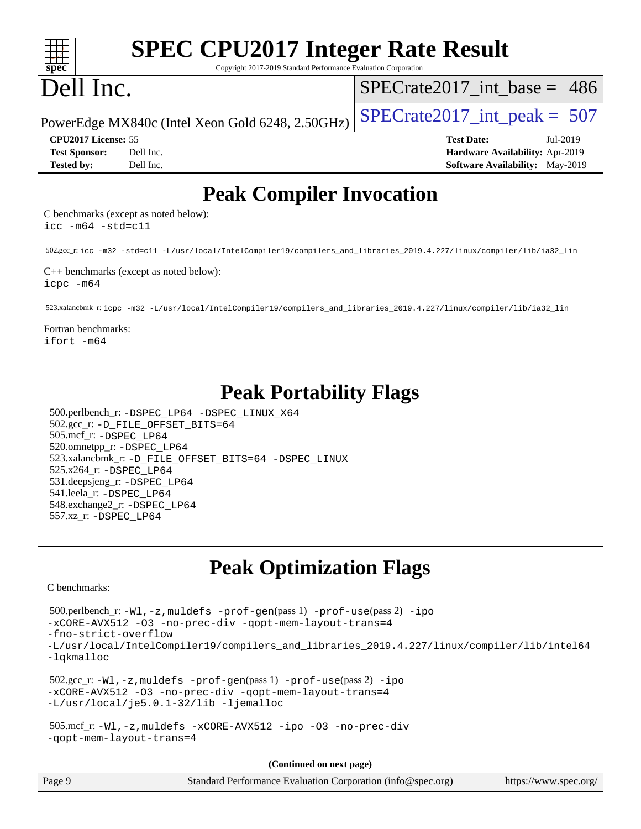| <b>SPEC CPU2017 Integer Rate Result</b><br>Copyright 2017-2019 Standard Performance Evaluation Corporation                                                                                                                                                                                                                                                                           |                                        |
|--------------------------------------------------------------------------------------------------------------------------------------------------------------------------------------------------------------------------------------------------------------------------------------------------------------------------------------------------------------------------------------|----------------------------------------|
| spec <sup>®</sup><br>Dell Inc.                                                                                                                                                                                                                                                                                                                                                       | $SPECrate2017\_int\_base = 486$        |
| PowerEdge MX840c (Intel Xeon Gold 6248, 2.50GHz)                                                                                                                                                                                                                                                                                                                                     | $SPECrate2017\_int\_peak = 507$        |
| CPU2017 License: 55                                                                                                                                                                                                                                                                                                                                                                  | <b>Test Date:</b><br>Jul-2019          |
| <b>Test Sponsor:</b><br>Dell Inc.                                                                                                                                                                                                                                                                                                                                                    | Hardware Availability: Apr-2019        |
| Dell Inc.<br><b>Tested by:</b>                                                                                                                                                                                                                                                                                                                                                       | <b>Software Availability:</b> May-2019 |
| <b>Peak Compiler Invocation</b>                                                                                                                                                                                                                                                                                                                                                      |                                        |
| C benchmarks (except as noted below):<br>$\text{icc -m64 -std=c11}$                                                                                                                                                                                                                                                                                                                  |                                        |
| 502.gcc_r:icc -m32 -std=c11 -L/usr/local/IntelCompiler19/compilers_and_libraries_2019.4.227/linux/compiler/lib/ia32_lin                                                                                                                                                                                                                                                              |                                        |
| C++ benchmarks (except as noted below):<br>icpc -m64                                                                                                                                                                                                                                                                                                                                 |                                        |
| 523.xalancbmk_r:icpc -m32 -L/usr/local/IntelCompiler19/compilers_and_libraries_2019.4.227/linux/compiler/lib/ia32_lin                                                                                                                                                                                                                                                                |                                        |
| Fortran benchmarks:<br>ifort -m64                                                                                                                                                                                                                                                                                                                                                    |                                        |
| <b>Peak Portability Flags</b><br>500.perlbench_r: -DSPEC_LP64 -DSPEC_LINUX_X64<br>502.gcc_r: -D_FILE_OFFSET_BITS=64<br>505.mcf_r: -DSPEC_LP64<br>520.omnetpp_r: -DSPEC_LP64<br>523.xalancbmk_r: -D_FILE_OFFSET_BITS=64 -DSPEC_LINUX<br>525.x264_r: - DSPEC_LP64<br>531.deepsjeng_r: -DSPEC_LP64<br>541.leela_r: -DSPEC_LP64<br>548.exchange2_r: -DSPEC LP64<br>557.xz_r: -DSPEC_LP64 |                                        |
| <b>Peak Optimization Flags</b>                                                                                                                                                                                                                                                                                                                                                       |                                        |
| C benchmarks:                                                                                                                                                                                                                                                                                                                                                                        |                                        |
| 500.perlbench_r: -Wl, -z, muldefs -prof-gen(pass 1) -prof-use(pass 2) -ipo<br>-xCORE-AVX512 -03 -no-prec-div -qopt-mem-layout-trans=4<br>-fno-strict-overflow                                                                                                                                                                                                                        |                                        |
| -L/usr/local/IntelCompiler19/compilers_and_libraries_2019.4.227/linux/compiler/lib/intel64<br>-lqkmalloc                                                                                                                                                                                                                                                                             |                                        |
| $502.\text{sec\_r: } -W1$ , $-z$ , muldefs $-prof-gen(pass1)$ $-prof-use(pass2)$ $-ipo$<br>-xCORE-AVX512 -03 -no-prec-div -qopt-mem-layout-trans=4<br>-L/usr/local/je5.0.1-32/lib -ljemalloc                                                                                                                                                                                         |                                        |
| 505.mcf_r:-Wl,-z,muldefs -xCORE-AVX512 -ipo -03 -no-prec-div<br>-gopt-mem-layout-trans=4                                                                                                                                                                                                                                                                                             |                                        |
| (Continued on next page)                                                                                                                                                                                                                                                                                                                                                             |                                        |
| Page 9<br>Standard Performance Evaluation Corporation (info@spec.org)                                                                                                                                                                                                                                                                                                                | https://www.spec.org/                  |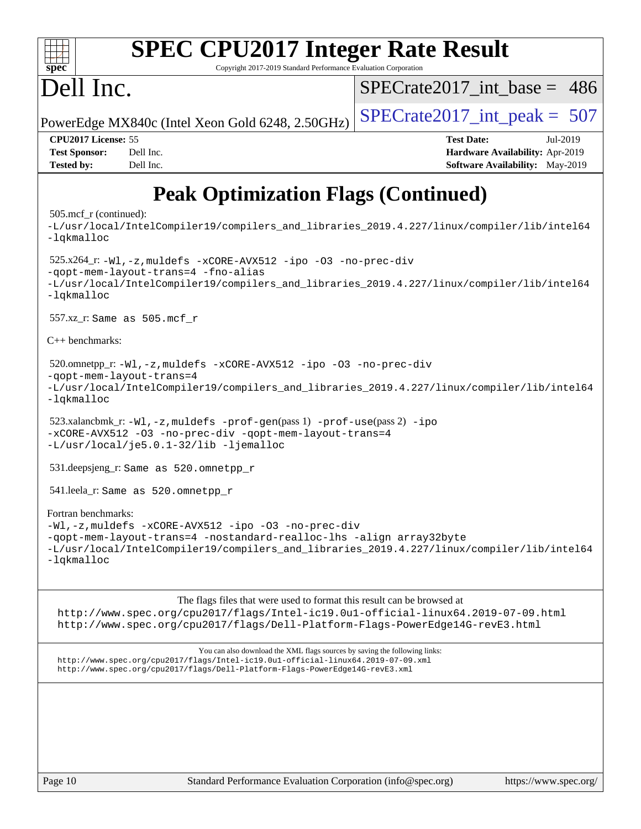| <b>SPEC CPU2017 Integer Rate Result</b><br>spec <sup>®</sup><br>Copyright 2017-2019 Standard Performance Evaluation Corporation                                                                                                                                                                                                                                                                                                                                                                                                                                                                                                                                                                                                                                                                                                                                            |                                        |
|----------------------------------------------------------------------------------------------------------------------------------------------------------------------------------------------------------------------------------------------------------------------------------------------------------------------------------------------------------------------------------------------------------------------------------------------------------------------------------------------------------------------------------------------------------------------------------------------------------------------------------------------------------------------------------------------------------------------------------------------------------------------------------------------------------------------------------------------------------------------------|----------------------------------------|
|                                                                                                                                                                                                                                                                                                                                                                                                                                                                                                                                                                                                                                                                                                                                                                                                                                                                            |                                        |
| Dell Inc.                                                                                                                                                                                                                                                                                                                                                                                                                                                                                                                                                                                                                                                                                                                                                                                                                                                                  | $SPECrate2017$ int base = 486          |
| PowerEdge MX840c (Intel Xeon Gold 6248, 2.50GHz)                                                                                                                                                                                                                                                                                                                                                                                                                                                                                                                                                                                                                                                                                                                                                                                                                           | $SPECTate2017\_int\_peak = 507$        |
| CPU2017 License: 55                                                                                                                                                                                                                                                                                                                                                                                                                                                                                                                                                                                                                                                                                                                                                                                                                                                        | <b>Test Date:</b><br>Jul-2019          |
| <b>Test Sponsor:</b><br>Dell Inc.                                                                                                                                                                                                                                                                                                                                                                                                                                                                                                                                                                                                                                                                                                                                                                                                                                          | Hardware Availability: Apr-2019        |
| <b>Tested by:</b><br>Dell Inc.                                                                                                                                                                                                                                                                                                                                                                                                                                                                                                                                                                                                                                                                                                                                                                                                                                             | <b>Software Availability:</b> May-2019 |
| <b>Peak Optimization Flags (Continued)</b><br>$505 \text{.mcf}_r$ (continued):<br>-L/usr/local/IntelCompiler19/compilers_and_libraries_2019.4.227/linux/compiler/lib/intel64<br>-lqkmalloc<br>525.x264_r: -Wl, -z, muldefs -xCORE-AVX512 -ipo -03 -no-prec-div<br>-qopt-mem-layout-trans=4 -fno-alias<br>-L/usr/local/IntelCompiler19/compilers_and_libraries_2019.4.227/linux/compiler/lib/intel64<br>-lqkmalloc<br>557.xz_r: Same as 505.mcf_r<br>$C_{++}$ benchmarks:<br>520.omnetpp_r: -Wl, -z, muldefs -xCORE-AVX512 -ipo -O3 -no-prec-div<br>-gopt-mem-layout-trans=4<br>-L/usr/local/IntelCompiler19/compilers_and_libraries_2019.4.227/linux/compiler/lib/intel64<br>-lqkmalloc<br>523.xalancbmk_r: -Wl, -z, muldefs -prof-gen(pass 1) -prof-use(pass 2) -ipo<br>-xCORE-AVX512 -03 -no-prec-div -qopt-mem-layout-trans=4<br>-L/usr/local/je5.0.1-32/lib -ljemalloc |                                        |
|                                                                                                                                                                                                                                                                                                                                                                                                                                                                                                                                                                                                                                                                                                                                                                                                                                                                            |                                        |
| 531.deepsjeng_r: Same as 520.omnetpp_r                                                                                                                                                                                                                                                                                                                                                                                                                                                                                                                                                                                                                                                                                                                                                                                                                                     |                                        |
| 541.leela_r: Same as 520.omnetpp_r                                                                                                                                                                                                                                                                                                                                                                                                                                                                                                                                                                                                                                                                                                                                                                                                                                         |                                        |
| Fortran benchmarks:<br>-Wl,-z, muldefs -xCORE-AVX512 -ipo -03 -no-prec-div<br>-qopt-mem-layout-trans=4 -nostandard-realloc-lhs -align array32byte<br>-L/usr/local/IntelCompiler19/compilers_and_libraries_2019.4.227/linux/compiler/lib/intel64<br>$-lq$ kmalloc                                                                                                                                                                                                                                                                                                                                                                                                                                                                                                                                                                                                           |                                        |
| The flags files that were used to format this result can be browsed at<br>http://www.spec.org/cpu2017/flags/Intel-ic19.0ul-official-linux64.2019-07-09.html<br>http://www.spec.org/cpu2017/flags/Dell-Platform-Flags-PowerEdge14G-revE3.html                                                                                                                                                                                                                                                                                                                                                                                                                                                                                                                                                                                                                               |                                        |

You can also download the XML flags sources by saving the following links: <http://www.spec.org/cpu2017/flags/Intel-ic19.0u1-official-linux64.2019-07-09.xml> <http://www.spec.org/cpu2017/flags/Dell-Platform-Flags-PowerEdge14G-revE3.xml>